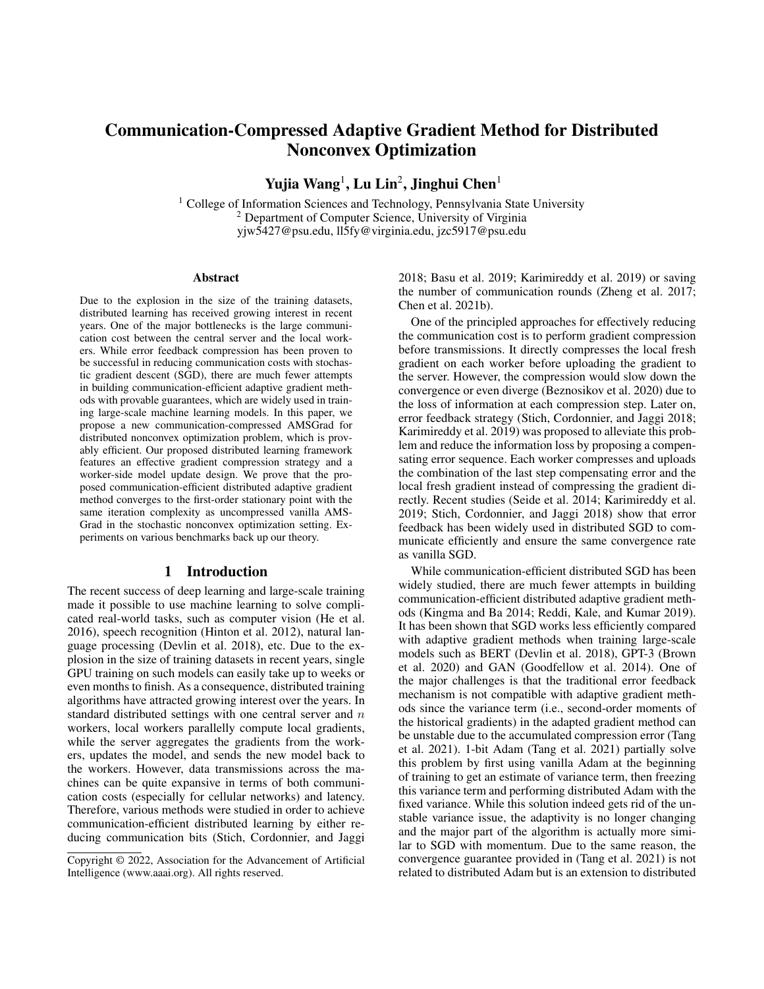# Communication-Compressed Adaptive Gradient Method for Distributed Nonconvex Optimization

Yujia Wang<sup>1</sup>, Lu Lin<sup>2</sup>, Jinghui Chen<sup>1</sup>

<sup>1</sup> College of Information Sciences and Technology, Pennsylvania State University <sup>2</sup> Department of Computer Science, University of Virginia yjw5427@psu.edu, ll5fy@virginia.edu, jzc5917@psu.edu

#### Abstract

Due to the explosion in the size of the training datasets, distributed learning has received growing interest in recent years. One of the major bottlenecks is the large communication cost between the central server and the local workers. While error feedback compression has been proven to be successful in reducing communication costs with stochastic gradient descent (SGD), there are much fewer attempts in building communication-efficient adaptive gradient methods with provable guarantees, which are widely used in training large-scale machine learning models. In this paper, we propose a new communication-compressed AMSGrad for distributed nonconvex optimization problem, which is provably efficient. Our proposed distributed learning framework features an effective gradient compression strategy and a worker-side model update design. We prove that the proposed communication-efficient distributed adaptive gradient method converges to the first-order stationary point with the same iteration complexity as uncompressed vanilla AMS-Grad in the stochastic nonconvex optimization setting. Experiments on various benchmarks back up our theory.

### 1 Introduction

The recent success of deep learning and large-scale training made it possible to use machine learning to solve complicated real-world tasks, such as computer vision (He et al. 2016), speech recognition (Hinton et al. 2012), natural language processing (Devlin et al. 2018), etc. Due to the explosion in the size of training datasets in recent years, single GPU training on such models can easily take up to weeks or even months to finish. As a consequence, distributed training algorithms have attracted growing interest over the years. In standard distributed settings with one central server and  $n$ workers, local workers parallelly compute local gradients, while the server aggregates the gradients from the workers, updates the model, and sends the new model back to the workers. However, data transmissions across the machines can be quite expansive in terms of both communication costs (especially for cellular networks) and latency. Therefore, various methods were studied in order to achieve communication-efficient distributed learning by either reducing communication bits (Stich, Cordonnier, and Jaggi

2018; Basu et al. 2019; Karimireddy et al. 2019) or saving the number of communication rounds (Zheng et al. 2017; Chen et al. 2021b).

One of the principled approaches for effectively reducing the communication cost is to perform gradient compression before transmissions. It directly compresses the local fresh gradient on each worker before uploading the gradient to the server. However, the compression would slow down the convergence or even diverge (Beznosikov et al. 2020) due to the loss of information at each compression step. Later on, error feedback strategy (Stich, Cordonnier, and Jaggi 2018; Karimireddy et al. 2019) was proposed to alleviate this problem and reduce the information loss by proposing a compensating error sequence. Each worker compresses and uploads the combination of the last step compensating error and the local fresh gradient instead of compressing the gradient directly. Recent studies (Seide et al. 2014; Karimireddy et al. 2019; Stich, Cordonnier, and Jaggi 2018) show that error feedback has been widely used in distributed SGD to communicate efficiently and ensure the same convergence rate as vanilla SGD.

While communication-efficient distributed SGD has been widely studied, there are much fewer attempts in building communication-efficient distributed adaptive gradient methods (Kingma and Ba 2014; Reddi, Kale, and Kumar 2019). It has been shown that SGD works less efficiently compared with adaptive gradient methods when training large-scale models such as BERT (Devlin et al. 2018), GPT-3 (Brown et al. 2020) and GAN (Goodfellow et al. 2014). One of the major challenges is that the traditional error feedback mechanism is not compatible with adaptive gradient methods since the variance term (i.e., second-order moments of the historical gradients) in the adapted gradient method can be unstable due to the accumulated compression error (Tang et al. 2021). 1-bit Adam (Tang et al. 2021) partially solve this problem by first using vanilla Adam at the beginning of training to get an estimate of variance term, then freezing this variance term and performing distributed Adam with the fixed variance. While this solution indeed gets rid of the unstable variance issue, the adaptivity is no longer changing and the major part of the algorithm is actually more similar to SGD with momentum. Due to the same reason, the convergence guarantee provided in (Tang et al. 2021) is not related to distributed Adam but is an extension to distributed

Copyright © 2022, Association for the Advancement of Artificial Intelligence (www.aaai.org). All rights reserved.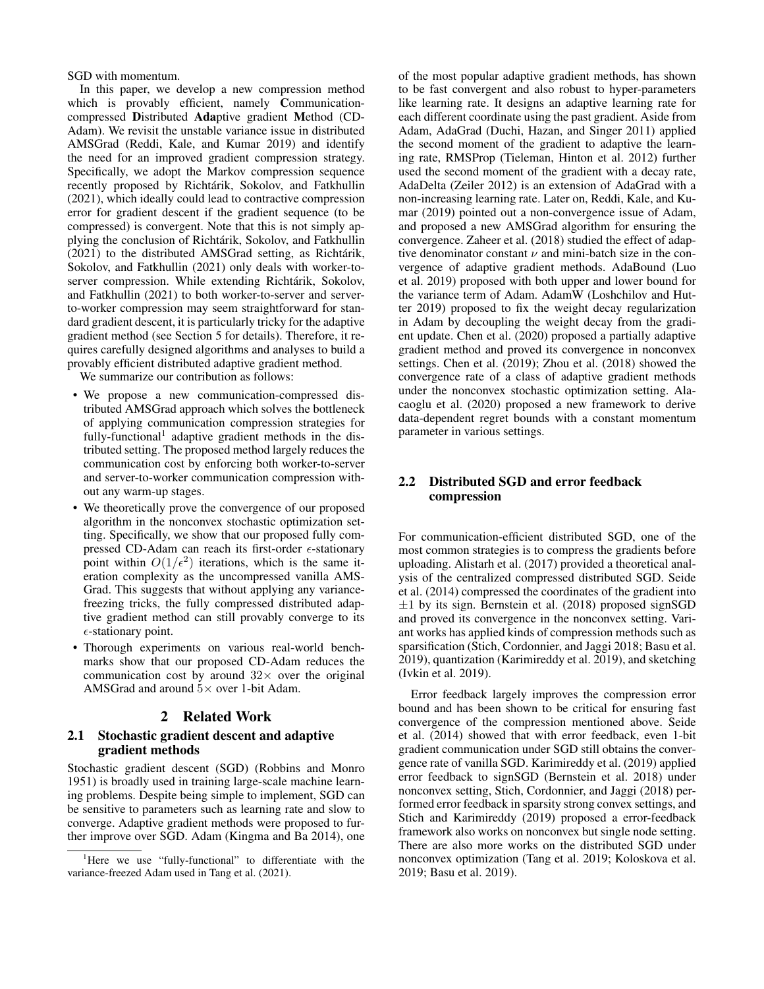SGD with momentum.

In this paper, we develop a new compression method which is provably efficient, namely Communicationcompressed Distributed Adaptive gradient Method (CD-Adam). We revisit the unstable variance issue in distributed AMSGrad (Reddi, Kale, and Kumar 2019) and identify the need for an improved gradient compression strategy. Specifically, we adopt the Markov compression sequence recently proposed by Richtárik, Sokolov, and Fatkhullin (2021), which ideally could lead to contractive compression error for gradient descent if the gradient sequence (to be compressed) is convergent. Note that this is not simply applying the conclusion of Richtarik, Sokolov, and Fatkhullin ´  $(2021)$  to the distributed AMSGrad setting, as Richtárik, Sokolov, and Fatkhullin (2021) only deals with worker-toserver compression. While extending Richtárik, Sokolov, and Fatkhullin (2021) to both worker-to-server and serverto-worker compression may seem straightforward for standard gradient descent, it is particularly tricky for the adaptive gradient method (see Section 5 for details). Therefore, it requires carefully designed algorithms and analyses to build a provably efficient distributed adaptive gradient method.

We summarize our contribution as follows:

- We propose a new communication-compressed distributed AMSGrad approach which solves the bottleneck of applying communication compression strategies for fully-functional<sup>1</sup> adaptive gradient methods in the distributed setting. The proposed method largely reduces the communication cost by enforcing both worker-to-server and server-to-worker communication compression without any warm-up stages.
- We theoretically prove the convergence of our proposed algorithm in the nonconvex stochastic optimization setting. Specifically, we show that our proposed fully compressed CD-Adam can reach its first-order  $\epsilon$ -stationary point within  $O(1/\epsilon^2)$  iterations, which is the same iteration complexity as the uncompressed vanilla AMS-Grad. This suggests that without applying any variancefreezing tricks, the fully compressed distributed adaptive gradient method can still provably converge to its  $\epsilon$ -stationary point.
- Thorough experiments on various real-world benchmarks show that our proposed CD-Adam reduces the communication cost by around  $32\times$  over the original AMSGrad and around  $5 \times$  over 1-bit Adam.

# 2 Related Work

## 2.1 Stochastic gradient descent and adaptive gradient methods

Stochastic gradient descent (SGD) (Robbins and Monro 1951) is broadly used in training large-scale machine learning problems. Despite being simple to implement, SGD can be sensitive to parameters such as learning rate and slow to converge. Adaptive gradient methods were proposed to further improve over SGD. Adam (Kingma and Ba 2014), one

of the most popular adaptive gradient methods, has shown to be fast convergent and also robust to hyper-parameters like learning rate. It designs an adaptive learning rate for each different coordinate using the past gradient. Aside from Adam, AdaGrad (Duchi, Hazan, and Singer 2011) applied the second moment of the gradient to adaptive the learning rate, RMSProp (Tieleman, Hinton et al. 2012) further used the second moment of the gradient with a decay rate, AdaDelta (Zeiler 2012) is an extension of AdaGrad with a non-increasing learning rate. Later on, Reddi, Kale, and Kumar (2019) pointed out a non-convergence issue of Adam, and proposed a new AMSGrad algorithm for ensuring the convergence. Zaheer et al. (2018) studied the effect of adaptive denominator constant  $\nu$  and mini-batch size in the convergence of adaptive gradient methods. AdaBound (Luo et al. 2019) proposed with both upper and lower bound for the variance term of Adam. AdamW (Loshchilov and Hutter 2019) proposed to fix the weight decay regularization in Adam by decoupling the weight decay from the gradient update. Chen et al. (2020) proposed a partially adaptive gradient method and proved its convergence in nonconvex settings. Chen et al. (2019); Zhou et al. (2018) showed the convergence rate of a class of adaptive gradient methods under the nonconvex stochastic optimization setting. Alacaoglu et al. (2020) proposed a new framework to derive data-dependent regret bounds with a constant momentum parameter in various settings.

# 2.2 Distributed SGD and error feedback compression

For communication-efficient distributed SGD, one of the most common strategies is to compress the gradients before uploading. Alistarh et al. (2017) provided a theoretical analysis of the centralized compressed distributed SGD. Seide et al. (2014) compressed the coordinates of the gradient into  $\pm 1$  by its sign. Bernstein et al. (2018) proposed signSGD and proved its convergence in the nonconvex setting. Variant works has applied kinds of compression methods such as sparsification (Stich, Cordonnier, and Jaggi 2018; Basu et al. 2019), quantization (Karimireddy et al. 2019), and sketching (Ivkin et al. 2019).

Error feedback largely improves the compression error bound and has been shown to be critical for ensuring fast convergence of the compression mentioned above. Seide et al. (2014) showed that with error feedback, even 1-bit gradient communication under SGD still obtains the convergence rate of vanilla SGD. Karimireddy et al. (2019) applied error feedback to signSGD (Bernstein et al. 2018) under nonconvex setting, Stich, Cordonnier, and Jaggi (2018) performed error feedback in sparsity strong convex settings, and Stich and Karimireddy (2019) proposed a error-feedback framework also works on nonconvex but single node setting. There are also more works on the distributed SGD under nonconvex optimization (Tang et al. 2019; Koloskova et al. 2019; Basu et al. 2019).

<sup>&</sup>lt;sup>1</sup>Here we use "fully-functional" to differentiate with the variance-freezed Adam used in Tang et al. (2021).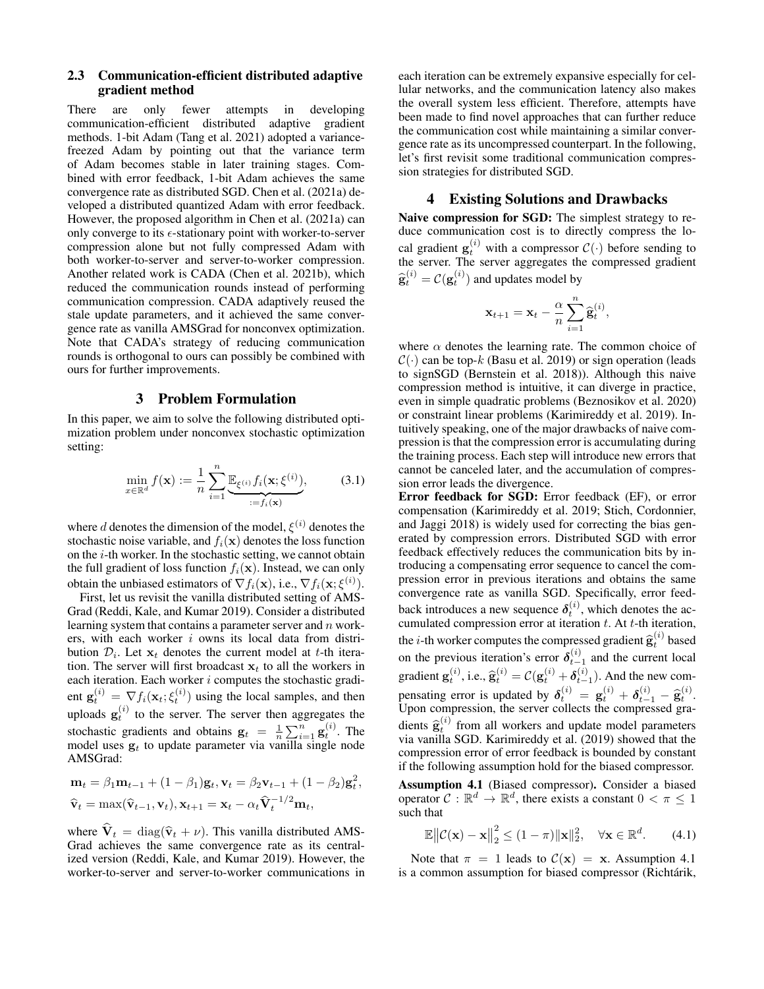## 2.3 Communication-efficient distributed adaptive gradient method

There are only fewer attempts in developing communication-efficient distributed adaptive gradient methods. 1-bit Adam (Tang et al. 2021) adopted a variancefreezed Adam by pointing out that the variance term of Adam becomes stable in later training stages. Combined with error feedback, 1-bit Adam achieves the same convergence rate as distributed SGD. Chen et al. (2021a) developed a distributed quantized Adam with error feedback. However, the proposed algorithm in Chen et al. (2021a) can only converge to its  $\epsilon$ -stationary point with worker-to-server compression alone but not fully compressed Adam with both worker-to-server and server-to-worker compression. Another related work is CADA (Chen et al. 2021b), which reduced the communication rounds instead of performing communication compression. CADA adaptively reused the stale update parameters, and it achieved the same convergence rate as vanilla AMSGrad for nonconvex optimization. Note that CADA's strategy of reducing communication rounds is orthogonal to ours can possibly be combined with ours for further improvements.

## 3 Problem Formulation

In this paper, we aim to solve the following distributed optimization problem under nonconvex stochastic optimization setting:

$$
\min_{x \in \mathbb{R}^d} f(\mathbf{x}) := \frac{1}{n} \sum_{i=1}^n \underbrace{\mathbb{E}_{\xi^{(i)}} f_i(\mathbf{x}; \xi^{(i)})}_{:= f_i(\mathbf{x})},
$$
(3.1)

where d denotes the dimension of the model,  $\xi^{(i)}$  denotes the stochastic noise variable, and  $f_i(\mathbf{x})$  denotes the loss function on the i-th worker. In the stochastic setting, we cannot obtain the full gradient of loss function  $f_i(\mathbf{x})$ . Instead, we can only obtain the unbiased estimators of  $\nabla f_i(\mathbf{x})$ , i.e.,  $\nabla f_i(\mathbf{x}; \xi^{(i)})$ .

First, let us revisit the vanilla distributed setting of AMS-Grad (Reddi, Kale, and Kumar 2019). Consider a distributed learning system that contains a parameter server and  $n$  workers, with each worker i owns its local data from distribution  $\mathcal{D}_i$ . Let  $\mathbf{x}_t$  denotes the current model at t-th iteration. The server will first broadcast  $x_t$  to all the workers in each iteration. Each worker  $i$  computes the stochastic gradient  $\mathbf{g}_t^{(i)} = \nabla f_i(\mathbf{x}_t; \xi_t^{(i)})$  using the local samples, and then uploads  $\mathbf{g}_t^{(i)}$  to the server. The server then aggregates the stochastic gradients and obtains  $\mathbf{g}_t = \frac{1}{n} \sum_{i=1}^n \mathbf{g}_t^{(i)}$ . The model uses  $g_t$  to update parameter via vanilla single node AMSGrad:

$$
\mathbf{m}_t = \beta_1 \mathbf{m}_{t-1} + (1 - \beta_1) \mathbf{g}_t, \mathbf{v}_t = \beta_2 \mathbf{v}_{t-1} + (1 - \beta_2) \mathbf{g}_t^2,
$$
  

$$
\widehat{\mathbf{v}}_t = \max(\widehat{\mathbf{v}}_{t-1}, \mathbf{v}_t), \mathbf{x}_{t+1} = \mathbf{x}_t - \alpha_t \widehat{\mathbf{V}}_t^{-1/2} \mathbf{m}_t,
$$

where  $\hat{\mathbf{V}}_t = \text{diag}(\hat{\mathbf{v}}_t + \nu)$ . This vanilla distributed AMS-Grad achieves the same convergence rate as its centralized version (Reddi, Kale, and Kumar 2019). However, the worker-to-server and server-to-worker communications in each iteration can be extremely expansive especially for cellular networks, and the communication latency also makes the overall system less efficient. Therefore, attempts have been made to find novel approaches that can further reduce the communication cost while maintaining a similar convergence rate as its uncompressed counterpart. In the following, let's first revisit some traditional communication compression strategies for distributed SGD.

## 4 Existing Solutions and Drawbacks

Naive compression for SGD: The simplest strategy to reduce communication cost is to directly compress the local gradient  $\mathbf{g}_t^{(i)}$  with a compressor  $C(\cdot)$  before sending to the server. The server aggregates the compressed gradient  $\widehat{\mathbf{g}}_t^{(i)} = \mathcal{C}(\mathbf{g}_t^{(i)})$  and updates model by

$$
\mathbf{x}_{t+1} = \mathbf{x}_t - \frac{\alpha}{n} \sum_{i=1}^n \widehat{\mathbf{g}}_t^{(i)},
$$

where  $\alpha$  denotes the learning rate. The common choice of  $C(\cdot)$  can be top-k (Basu et al. 2019) or sign operation (leads to signSGD (Bernstein et al. 2018)). Although this naive compression method is intuitive, it can diverge in practice, even in simple quadratic problems (Beznosikov et al. 2020) or constraint linear problems (Karimireddy et al. 2019). Intuitively speaking, one of the major drawbacks of naive compression is that the compression error is accumulating during the training process. Each step will introduce new errors that cannot be canceled later, and the accumulation of compression error leads the divergence.

Error feedback for SGD: Error feedback (EF), or error compensation (Karimireddy et al. 2019; Stich, Cordonnier, and Jaggi 2018) is widely used for correcting the bias generated by compression errors. Distributed SGD with error feedback effectively reduces the communication bits by introducing a compensating error sequence to cancel the compression error in previous iterations and obtains the same convergence rate as vanilla SGD. Specifically, error feedback introduces a new sequence  $\delta_t^{(i)}$ , which denotes the accumulated compression error at iteration  $t$ . At  $t$ -th iteration, the *i*-th worker computes the compressed gradient  $\hat{\mathbf{g}}_t^{(i)}$  based<br>on the previous iteration's error  $\delta_{t-1}^{(i)}$  and the current local  $t_i^{(i)}$  based gradient  $\mathbf{g}_t^{(i)}$ , i.e.,  $\hat{\mathbf{g}}_t^{(i)} = \mathcal{C}(\mathbf{g}_t^{(i)} + \delta_{t-1}^{(i)})$ . And the new compensating error is updated by  $\delta_i^{(i)} = \mathbf{g}_t^{(i)} + \delta_{t-1}^{(i)} - \hat{\mathbf{g}}_t^{(i)}$ .<br>Unon compression, the server collects the compressed gra-Upon compression, the server collects the compressed gradients  $\hat{\mathbf{g}}_t^{(i)}$  from all workers and update model parameters via vanilla SGD. Karimireddy et al. (2019) showed that the via vanilla SGD. Karimireddy et al. (2019) showed that the compression error of error feedback is bounded by constant if the following assumption hold for the biased compressor.

Assumption 4.1 (Biased compressor). Consider a biased operator  $C : \mathbb{R}^d \to \mathbb{R}^d$ , there exists a constant  $0 < \pi \leq 1$ such that

$$
\mathbb{E}\left\|\mathcal{C}(\mathbf{x}) - \mathbf{x}\right\|_{2}^{2} \leq (1 - \pi)\|\mathbf{x}\|_{2}^{2}, \quad \forall \mathbf{x} \in \mathbb{R}^{d}.
$$
 (4.1)

Note that  $\pi = 1$  leads to  $C(\mathbf{x}) = \mathbf{x}$ . Assumption 4.1 is a common assumption for biased compressor (Richtárik,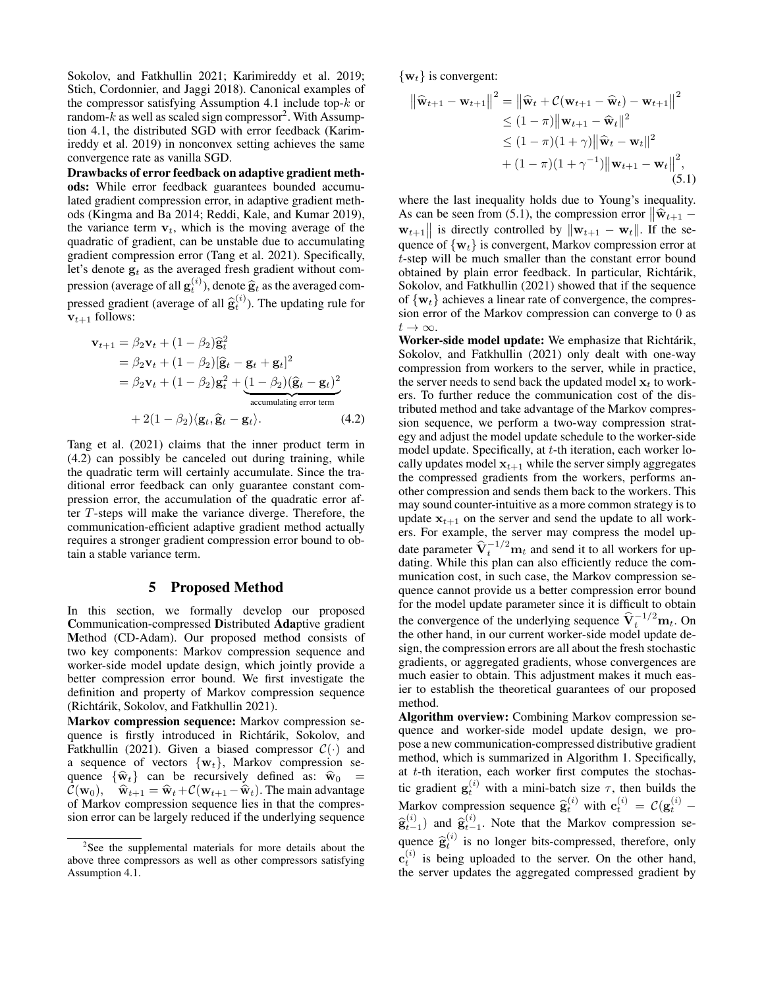Sokolov, and Fatkhullin 2021; Karimireddy et al. 2019; Stich, Cordonnier, and Jaggi 2018). Canonical examples of the compressor satisfying Assumption 4.1 include top- $k$  or random- $k$  as well as scaled sign compressor<sup>2</sup>. With Assumption 4.1, the distributed SGD with error feedback (Karimireddy et al. 2019) in nonconvex setting achieves the same convergence rate as vanilla SGD.

Drawbacks of error feedback on adaptive gradient methods: While error feedback guarantees bounded accumulated gradient compression error, in adaptive gradient methods (Kingma and Ba 2014; Reddi, Kale, and Kumar 2019), the variance term  $v_t$ , which is the moving average of the quadratic of gradient, can be unstable due to accumulating gradient compression error (Tang et al. 2021). Specifically, let's denote  $g_t$  as the averaged fresh gradient without compression (average of all  $\mathbf{g}_t^{(i)}$ ), denote  $\hat{\mathbf{g}}_t$  as the averaged compressed gradient (average of all  $\hat{\mathbf{g}}_t^{(i)}$ ). The updating rule for  $v_{t+1}$  follows:

$$
\mathbf{v}_{t+1} = \beta_2 \mathbf{v}_t + (1 - \beta_2) \hat{\mathbf{g}}_t^2
$$
  
=  $\beta_2 \mathbf{v}_t + (1 - \beta_2) [\hat{\mathbf{g}}_t - \mathbf{g}_t + \mathbf{g}_t]^2$   
=  $\beta_2 \mathbf{v}_t + (1 - \beta_2) \mathbf{g}_t^2 + (1 - \beta_2) (\hat{\mathbf{g}}_t - \mathbf{g}_t)^2$   
accumulating error term  
+  $2(1 - \beta_2) \langle \mathbf{g}_t, \hat{\mathbf{g}}_t - \mathbf{g}_t \rangle$ . (4.2)

Tang et al. (2021) claims that the inner product term in (4.2) can possibly be canceled out during training, while the quadratic term will certainly accumulate. Since the traditional error feedback can only guarantee constant compression error, the accumulation of the quadratic error after T-steps will make the variance diverge. Therefore, the communication-efficient adaptive gradient method actually requires a stronger gradient compression error bound to obtain a stable variance term.

### 5 Proposed Method

In this section, we formally develop our proposed Communication-compressed Distributed Adaptive gradient Method (CD-Adam). Our proposed method consists of two key components: Markov compression sequence and worker-side model update design, which jointly provide a better compression error bound. We first investigate the definition and property of Markov compression sequence (Richtárik, Sokolov, and Fatkhullin 2021).

Markov compression sequence: Markov compression sequence is firstly introduced in Richtárik, Sokolov, and Fatkhullin (2021). Given a biased compressor  $C(\cdot)$  and a sequence of vectors  $\{w_t\}$ , Markov compression sequence  $\{\hat{\mathbf{w}}_t\}$  can be recursively defined as:  $\hat{\mathbf{w}}_0$  =  $C(\mathbf{w}_0)$ ,  $\hat{\mathbf{w}}_{t+1} = \hat{\mathbf{w}}_t + C(\mathbf{w}_{t+1}-\hat{\mathbf{w}}_t)$ . The main advantage of Markov compression sequence lies in that the compression error can be largely reduced if the underlying sequence  $\{w_t\}$  is convergent:

$$
\|\widehat{\mathbf{w}}_{t+1} - \mathbf{w}_{t+1}\|^2 = \|\widehat{\mathbf{w}}_t + C(\mathbf{w}_{t+1} - \widehat{\mathbf{w}}_t) - \mathbf{w}_{t+1}\|^2
$$
  
\n
$$
\leq (1 - \pi) \|\mathbf{w}_{t+1} - \widehat{\mathbf{w}}_t\|^2
$$
  
\n
$$
\leq (1 - \pi)(1 + \gamma) \|\widehat{\mathbf{w}}_t - \mathbf{w}_t\|^2
$$
  
\n
$$
+ (1 - \pi)(1 + \gamma^{-1}) \|\mathbf{w}_{t+1} - \mathbf{w}_t\|^2,
$$
  
\n(5.1)

where the last inequality holds due to Young's inequality. As can be seen from (5.1), the compression error  $\|\hat{\mathbf{w}}_{t+1} \mathbf{w}_{t+1}$  is directly controlled by  $\|\mathbf{w}_{t+1} - \mathbf{w}_t\|$ . If the sequence of  $\{w_t\}$  is convergent, Markov compression error at t-step will be much smaller than the constant error bound obtained by plain error feedback. In particular, Richtárik, Sokolov, and Fatkhullin (2021) showed that if the sequence of  $\{w_t\}$  achieves a linear rate of convergence, the compression error of the Markov compression can converge to 0 as  $t\to\infty$ .

Worker-side model update: We emphasize that Richtárik, Sokolov, and Fatkhullin (2021) only dealt with one-way compression from workers to the server, while in practice, the server needs to send back the updated model  $x_t$  to workers. To further reduce the communication cost of the distributed method and take advantage of the Markov compression sequence, we perform a two-way compression strategy and adjust the model update schedule to the worker-side model update. Specifically, at t-th iteration, each worker locally updates model  $x_{t+1}$  while the server simply aggregates the compressed gradients from the workers, performs another compression and sends them back to the workers. This may sound counter-intuitive as a more common strategy is to update  $x_{t+1}$  on the server and send the update to all workers. For example, the server may compress the model update parameter  $\hat{V}_t^{-1/2}$  m<sub>t</sub> and send it to all workers for updating. While this plan can also efficiently reduce the communication cost, in such case, the Markov compression sequence cannot provide us a better compression error bound for the model update parameter since it is difficult to obtain the convergence of the underlying sequence  $\hat{V}_t^{-1/2} m_t$ . On the other hand, in our current worker-side model update design, the compression errors are all about the fresh stochastic gradients, or aggregated gradients, whose convergences are much easier to obtain. This adjustment makes it much easier to establish the theoretical guarantees of our proposed method.

Algorithm overview: Combining Markov compression sequence and worker-side model update design, we propose a new communication-compressed distributive gradient method, which is summarized in Algorithm 1. Specifically, at t-th iteration, each worker first computes the stochastic gradient  $\mathbf{g}_t^{(i)}$  with a mini-batch size  $\tau$ , then builds the Markov compression sequence  $\hat{\mathbf{g}}_t^{(i)}$  with  $\mathbf{c}_t^{(i)} = \mathcal{C}(\mathbf{g}_t^{(i)} - \hat{\mathcal{C}}_{t}^{(i)})$  $\hat{\mathbf{g}}_{t-1}^{(i)}$  and  $\hat{\mathbf{g}}_{t-1}^{(i)}$ . Note that the Markov compression sequence  $\hat{\mathbf{g}}_t^{(i)}$  is no longer bits-compressed, therefore, only  $\mathbf{c}_t^{(i)}$  is being uploaded to the server. On the other hand, the server updates the aggregated compressed gradient by

<sup>&</sup>lt;sup>2</sup>See the supplemental materials for more details about the above three compressors as well as other compressors satisfying Assumption 4.1.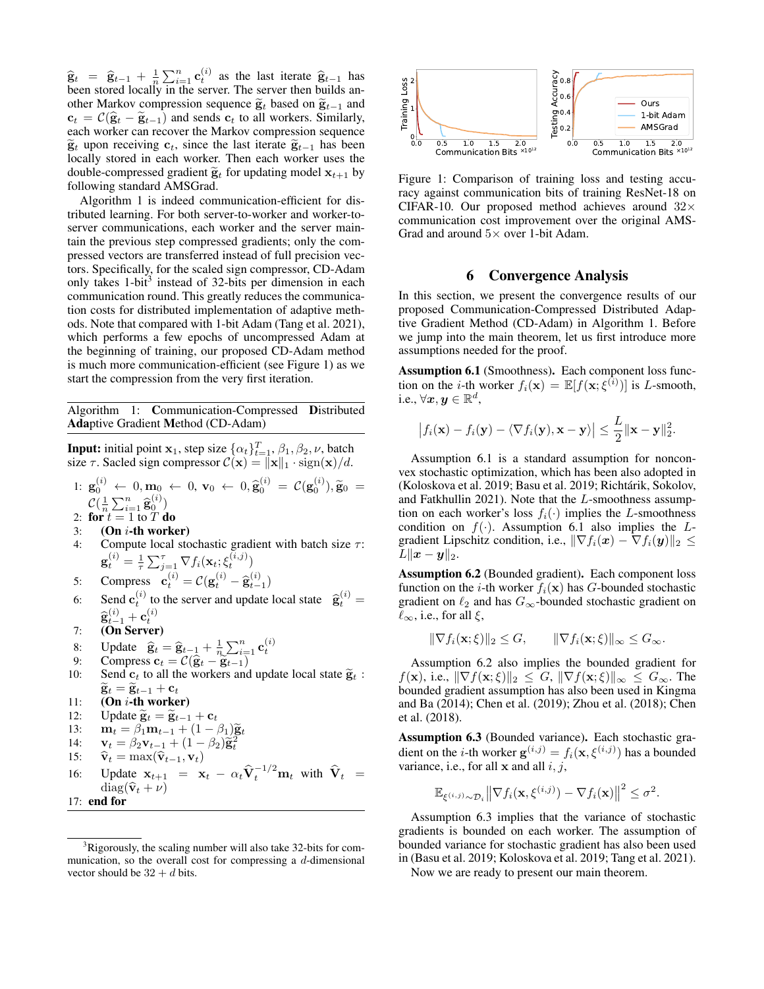$\hat{\mathbf{g}}_t = \hat{\mathbf{g}}_{t-1} + \frac{1}{n} \sum_{i=1}^n \mathbf{c}_t^{(i)}$  as the last iterate  $\hat{\mathbf{g}}_{t-1}$  has been stored locally in the server. The server then builds another Markov compression sequence  $\tilde{g}_t$  based on  $\tilde{g}_{t-1}$  and  $c_t = \mathcal{C}(\hat{\mathbf{g}}_t - \tilde{\mathbf{g}}_{t-1})$  and sends  $\mathbf{c}_t$  to all workers. Similarly, each worker can recover the Markov compression sequence  $\widetilde{\mathbf{g}}_t$  upon receiving  $\mathbf{c}_t$ , since the last iterate  $\widetilde{\mathbf{g}}_{t-1}$  has been locally stored in each worker. Then each worker uses the double-compressed gradient  $\tilde{\mathbf{g}}_t$  for updating model  $\mathbf{x}_{t+1}$  by following standard AMSGrad.

Algorithm 1 is indeed communication-efficient for distributed learning. For both server-to-worker and worker-toserver communications, each worker and the server maintain the previous step compressed gradients; only the compressed vectors are transferred instead of full precision vectors. Specifically, for the scaled sign compressor, CD-Adam only takes 1-bit<sup>3</sup> instead of 32-bits per dimension in each communication round. This greatly reduces the communication costs for distributed implementation of adaptive methods. Note that compared with 1-bit Adam (Tang et al. 2021), which performs a few epochs of uncompressed Adam at the beginning of training, our proposed CD-Adam method is much more communication-efficient (see Figure 1) as we start the compression from the very first iteration.

Algorithm 1: Communication-Compressed Distributed Adaptive Gradient Method (CD-Adam)

**Input:** initial point 
$$
\mathbf{x}_1
$$
, step size  $\{\alpha_t\}_{t=1}^T$ ,  $\beta_1$ ,  $\beta_2$ ,  $\nu$ , batch  
size  $\tau$ . Scaled sign compressor  $\mathcal{C}(\mathbf{x}) = ||\mathbf{x}||_1 \cdot \text{sign}(\mathbf{x})/d$ .  
1:  $\mathbf{g}_0^{(i)} \leftarrow 0, \mathbf{m}_0 \leftarrow 0, \mathbf{v}_0 \leftarrow 0, \hat{\mathbf{g}}_0^{(i)} = \mathcal{C}(\mathbf{g}_0^{(i)}), \tilde{\mathbf{g}}_0 =$   
 $\mathcal{C}(\frac{1}{n}\sum_{i=1}^n \hat{\mathbf{g}}_0^{(i)})$   
2:  $\mathbf{for } t = 1$  to  $T$  do

2: **for** 
$$
t = 1
$$
 to  $T$  **do**

- $3:$  (On  $i$ -th worker)
- 4: Compute local stochastic gradient with batch size  $\tau$ :  $\mathbf{g}_t^{(i)} = \frac{1}{\tau}\sum_{j=1}^{\tau} \nabla f_i(\mathbf{x}_t; \xi_t^{(i,j)})$
- 5: Compress  $\mathbf{c}_t^{(i)} = \mathcal{C}(\mathbf{g}_t^{(i)} \widehat{\mathbf{g}}_{t-1}^{(i)})$
- 6: Send  $\mathbf{c}_t^{(i)}$  to the server and update local state  $\hat{\mathbf{g}}_t^{(i)} = \hat{\mathbf{g}}_t^{(i)}$
- $\widehat{\mathbf{g}}_{t-1}^{(i)} + \mathbf{c}_t^{(i)}$ <br>7: (**On Server**)
- 8: Update  $\hat{\mathbf{g}}_t = \hat{\mathbf{g}}_{t-1} + \frac{1}{n} \sum_{i=1}^n \mathbf{c}_t^{(i)}$ <br>9: Compress  $\mathbf{c}_t = \mathcal{C}(\hat{\mathbf{g}}_t \hat{\mathbf{g}}_{t-1})$
- 
- 10: Send  $c_t$  to all the workers and update local state  $\widetilde{g}_t$ :  $\widetilde{\mathbf{g}}_t = \widetilde{\mathbf{g}}_{t-1} + \mathbf{c}_t$
- 11:  $(On i-th worker)$
- 12: Update  $\widetilde{\mathbf{g}}_t = \widetilde{\mathbf{g}}_{t-1} + \mathbf{c}_t$

13: 
$$
\mathbf{m}_t = \beta_1 \mathbf{m}_{t-1} + (1 - \beta_1) \widetilde{\mathbf{g}}_t
$$
  
14: 
$$
\mathbf{v}_t = \beta_2 \mathbf{v}_{t-1} + (1 - \beta_2) \widetilde{\mathbf{g}}_t^2
$$

- 14:  $\mathbf{v}_t = \hat{\beta}_2 \mathbf{v}_{t-1} + (1 \beta_2) \hat{\mathbf{g}}_t^2$ <br>
15:  $\hat{\mathbf{v}}_t = \max(\hat{\mathbf{v}}_{t-1}, \mathbf{v}_t)$
- 
- 16: Update  $\mathbf{x}_{t+1} = \mathbf{x}_t \alpha_t \hat{\mathbf{V}}_t^{-1/2} \mathbf{m}_t$  with  $\hat{\mathbf{V}}_t =$  $diag(\hat{\mathbf{v}}_t + \nu)$
- 17: end for



Figure 1: Comparison of training loss and testing accuracy against communication bits of training ResNet-18 on CIFAR-10. Our proposed method achieves around  $32\times$ communication cost improvement over the original AMS-Grad and around  $5\times$  over 1-bit Adam.

# 6 Convergence Analysis

In this section, we present the convergence results of our proposed Communication-Compressed Distributed Adaptive Gradient Method (CD-Adam) in Algorithm 1. Before we jump into the main theorem, let us first introduce more assumptions needed for the proof.

Assumption 6.1 (Smoothness). Each component loss function on the *i*-th worker  $f_i(\mathbf{x}) = \mathbb{E}[f(\mathbf{x}; \xi^{(i)})]$  is *L*-smooth, i.e.,  $\forall x,y \in \mathbb{R}^d,$ 

$$
\big|f_i(\mathbf{x})-f_i(\mathbf{y})-\langle \nabla f_i(\mathbf{y}), \mathbf{x}-\mathbf{y}\rangle\big|\leq \frac{L}{2}\|\mathbf{x}-\mathbf{y}\|_2^2.
$$

Assumption 6.1 is a standard assumption for nonconvex stochastic optimization, which has been also adopted in (Koloskova et al. 2019; Basu et al. 2019; Richtárik, Sokolov, and Fatkhullin 2021). Note that the L-smoothness assumption on each worker's loss  $f_i(\cdot)$  implies the L-smoothness condition on  $f(\cdot)$ . Assumption 6.1 also implies the Lgradient Lipschitz condition, i.e.,  $\|\nabla f_i(\boldsymbol{x}) - \nabla f_i(\boldsymbol{y})\|_2 \leq$  $L\|\boldsymbol{x}-\boldsymbol{y}\|_2.$ 

Assumption 6.2 (Bounded gradient). Each component loss function on the *i*-th worker  $f_i(\mathbf{x})$  has *G*-bounded stochastic gradient on  $\ell_2$  and has  $G_{\infty}$ -bounded stochastic gradient on  $\ell_{\infty}$ , i.e., for all  $\xi$ ,

$$
\|\nabla f_i(\mathbf{x};\xi)\|_2 \le G, \qquad \|\nabla f_i(\mathbf{x};\xi)\|_{\infty} \le G_{\infty}.
$$

Assumption 6.2 also implies the bounded gradient for  $f(\mathbf{x})$ , i.e.,  $\|\nabla f(\mathbf{x}; \xi)\|_2 \leq G$ ,  $\|\nabla f(\mathbf{x}; \xi)\|_{\infty} \leq G_{\infty}$ . The bounded gradient assumption has also been used in Kingma and Ba (2014); Chen et al. (2019); Zhou et al. (2018); Chen et al. (2018).

Assumption 6.3 (Bounded variance). Each stochastic gradient on the *i*-th worker  $\mathbf{g}^{(i,j)} = f_i(\mathbf{x}, \xi^{(i,j)})$  has a bounded variance, i.e., for all  $x$  and all  $i, j$ ,

$$
\mathbb{E}_{\xi^{(i,j)}\sim\mathcal{D}_i} \left\|\nabla f_i(\mathbf{x},\xi^{(i,j)}) - \nabla f_i(\mathbf{x})\right\|^2 \leq \sigma^2.
$$

Assumption 6.3 implies that the variance of stochastic gradients is bounded on each worker. The assumption of bounded variance for stochastic gradient has also been used in (Basu et al. 2019; Koloskova et al. 2019; Tang et al. 2021).

Now we are ready to present our main theorem.

 $3Rigorously$ , the scaling number will also take 32-bits for communication, so the overall cost for compressing a d-dimensional vector should be  $32 + d$  bits.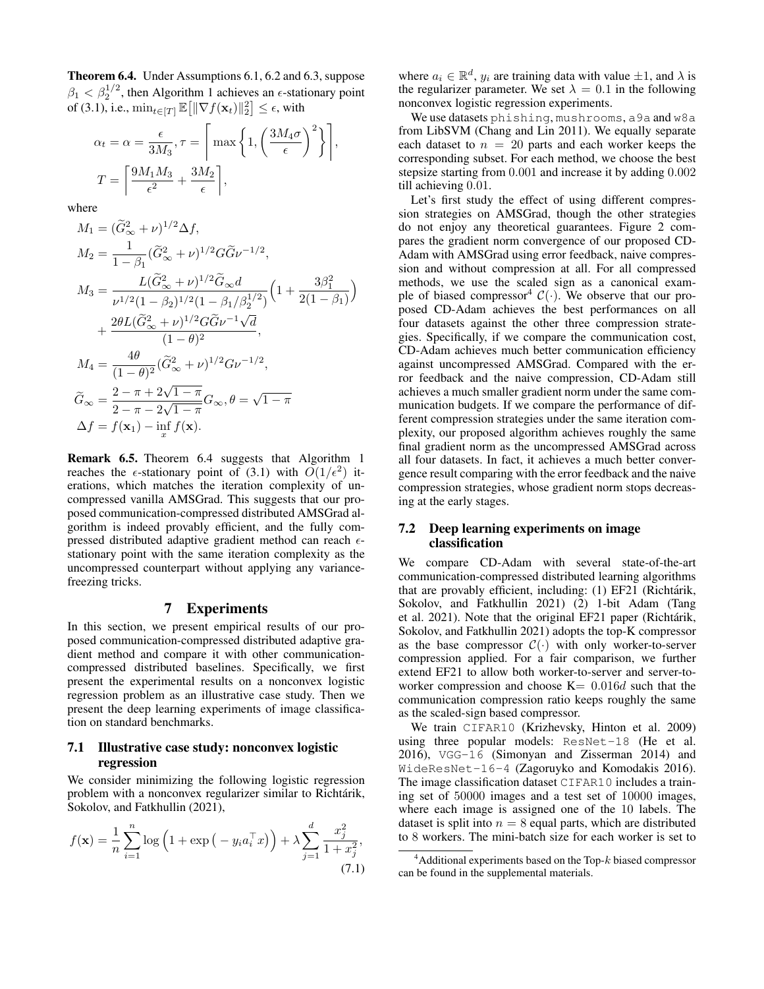Theorem 6.4. Under Assumptions 6.1, 6.2 and 6.3, suppose  $\beta_1 < \beta_2^{1/2}$ , then Algorithm 1 achieves an  $\epsilon$ -stationary point of (3.1), i.e.,  $\min_{t \in [T]} \mathbb{E} \big[ \| \nabla f(\mathbf{x}_t) \|_2^2 \big] \leq \epsilon$ , with

$$
\alpha_t = \alpha = \frac{\epsilon}{3M_3}, \tau = \left[ \max \left\{ 1, \left( \frac{3M_4\sigma}{\epsilon} \right)^2 \right\} \right]
$$

$$
T = \left[ \frac{9M_1M_3}{\epsilon^2} + \frac{3M_2}{\epsilon} \right],
$$

,

where

$$
M_1 = (\tilde{G}_{\infty}^2 + \nu)^{1/2} \Delta f,
$$
  
\n
$$
M_2 = \frac{1}{1 - \beta_1} (\tilde{G}_{\infty}^2 + \nu)^{1/2} G \tilde{G} \nu^{-1/2},
$$
  
\n
$$
M_3 = \frac{L(\tilde{G}_{\infty}^2 + \nu)^{1/2} \tilde{G}_{\infty} d}{\nu^{1/2} (1 - \beta_2)^{1/2} (1 - \beta_1/\beta_2^{1/2})} \left(1 + \frac{3\beta_1^2}{2(1 - \beta_1)}\right)
$$
  
\n
$$
+ \frac{2\theta L(\tilde{G}_{\infty}^2 + \nu)^{1/2} G \tilde{G} \nu^{-1} \sqrt{d}}{(1 - \theta)^2},
$$
  
\n
$$
M_4 = \frac{4\theta}{(1 - \theta)^2} (\tilde{G}_{\infty}^2 + \nu)^{1/2} G \nu^{-1/2},
$$
  
\n
$$
\tilde{G}_{\infty} = \frac{2 - \pi + 2\sqrt{1 - \pi}}{2 - \pi - 2\sqrt{1 - \pi}} G_{\infty}, \theta = \sqrt{1 - \pi}
$$
  
\n
$$
\Delta f = f(\mathbf{x}_1) - \inf_{\mathbf{x}} f(\mathbf{x}).
$$

Remark 6.5. Theorem 6.4 suggests that Algorithm 1 reaches the  $\epsilon$ -stationary point of (3.1) with  $O(1/\epsilon^2)$  iterations, which matches the iteration complexity of uncompressed vanilla AMSGrad. This suggests that our proposed communication-compressed distributed AMSGrad algorithm is indeed provably efficient, and the fully compressed distributed adaptive gradient method can reach  $\epsilon$ stationary point with the same iteration complexity as the uncompressed counterpart without applying any variancefreezing tricks.

#### 7 Experiments

In this section, we present empirical results of our proposed communication-compressed distributed adaptive gradient method and compare it with other communicationcompressed distributed baselines. Specifically, we first present the experimental results on a nonconvex logistic regression problem as an illustrative case study. Then we present the deep learning experiments of image classification on standard benchmarks.

## 7.1 Illustrative case study: nonconvex logistic regression

We consider minimizing the following logistic regression problem with a nonconvex regularizer similar to Richtarik, Sokolov, and Fatkhullin (2021),

$$
f(\mathbf{x}) = \frac{1}{n} \sum_{i=1}^{n} \log \left( 1 + \exp \left( -y_i a_i^{\top} x \right) \right) + \lambda \sum_{j=1}^{d} \frac{x_j^2}{1 + x_j^2},\tag{7.1}
$$

where  $a_i \in \mathbb{R}^d$ ,  $y_i$  are training data with value  $\pm 1$ , and  $\lambda$  is the regularizer parameter. We set  $\lambda = 0.1$  in the following nonconvex logistic regression experiments.

We use datasets phishing, mushrooms, a9a and w8a from LibSVM (Chang and Lin 2011). We equally separate each dataset to  $n = 20$  parts and each worker keeps the corresponding subset. For each method, we choose the best stepsize starting from 0.001 and increase it by adding 0.002 till achieving 0.01.

Let's first study the effect of using different compression strategies on AMSGrad, though the other strategies do not enjoy any theoretical guarantees. Figure 2 compares the gradient norm convergence of our proposed CD-Adam with AMSGrad using error feedback, naive compression and without compression at all. For all compressed methods, we use the scaled sign as a canonical example of biased compressor<sup>4</sup>  $C(\cdot)$ . We observe that our proposed CD-Adam achieves the best performances on all four datasets against the other three compression strategies. Specifically, if we compare the communication cost, CD-Adam achieves much better communication efficiency against uncompressed AMSGrad. Compared with the error feedback and the naive compression, CD-Adam still achieves a much smaller gradient norm under the same communication budgets. If we compare the performance of different compression strategies under the same iteration complexity, our proposed algorithm achieves roughly the same final gradient norm as the uncompressed AMSGrad across all four datasets. In fact, it achieves a much better convergence result comparing with the error feedback and the naive compression strategies, whose gradient norm stops decreasing at the early stages.

## 7.2 Deep learning experiments on image classification

We compare CD-Adam with several state-of-the-art communication-compressed distributed learning algorithms that are provably efficient, including: (1) EF21 (Richtárik, Sokolov, and Fatkhullin 2021) (2) 1-bit Adam (Tang et al. 2021). Note that the original EF21 paper (Richtárik, Sokolov, and Fatkhullin 2021) adopts the top-K compressor as the base compressor  $C(\cdot)$  with only worker-to-server compression applied. For a fair comparison, we further extend EF21 to allow both worker-to-server and server-toworker compression and choose  $K= 0.016d$  such that the communication compression ratio keeps roughly the same as the scaled-sign based compressor.

We train CIFAR10 (Krizhevsky, Hinton et al. 2009) using three popular models: ResNet-18 (He et al. 2016), VGG-16 (Simonyan and Zisserman 2014) and WideResNet-16-4 (Zagoruyko and Komodakis 2016). The image classification dataset CIFAR10 includes a training set of 50000 images and a test set of 10000 images, where each image is assigned one of the 10 labels. The dataset is split into  $n = 8$  equal parts, which are distributed to 8 workers. The mini-batch size for each worker is set to

 $4$ Additional experiments based on the Top- $k$  biased compressor can be found in the supplemental materials.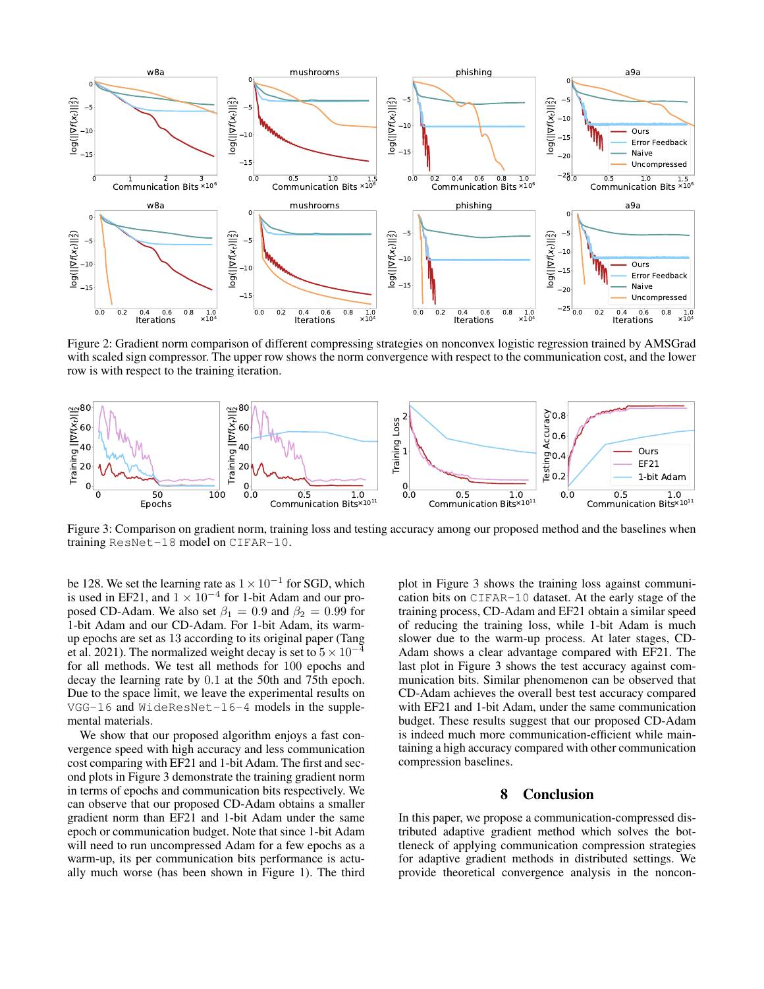

Figure 2: Gradient norm comparison of different compressing strategies on nonconvex logistic regression trained by AMSGrad with scaled sign compressor. The upper row shows the norm convergence with respect to the communication cost, and the lower row is with respect to the training iteration.



Figure 3: Comparison on gradient norm, training loss and testing accuracy among our proposed method and the baselines when training ResNet-18 model on CIFAR-10.

be 128. We set the learning rate as  $1 \times 10^{-1}$  for SGD, which is used in EF21, and  $1 \times 10^{-4}$  for 1-bit Adam and our proposed CD-Adam. We also set  $\beta_1 = 0.9$  and  $\beta_2 = 0.99$  for 1-bit Adam and our CD-Adam. For 1-bit Adam, its warmup epochs are set as 13 according to its original paper (Tang et al. 2021). The normalized weight decay is set to  $5 \times 10^{-4}$ for all methods. We test all methods for 100 epochs and decay the learning rate by 0.1 at the 50th and 75th epoch. Due to the space limit, we leave the experimental results on VGG-16 and WideResNet-16-4 models in the supplemental materials.

We show that our proposed algorithm enjoys a fast convergence speed with high accuracy and less communication cost comparing with EF21 and 1-bit Adam. The first and second plots in Figure 3 demonstrate the training gradient norm in terms of epochs and communication bits respectively. We can observe that our proposed CD-Adam obtains a smaller gradient norm than EF21 and 1-bit Adam under the same epoch or communication budget. Note that since 1-bit Adam will need to run uncompressed Adam for a few epochs as a warm-up, its per communication bits performance is actually much worse (has been shown in Figure 1). The third plot in Figure 3 shows the training loss against communication bits on CIFAR-10 dataset. At the early stage of the training process, CD-Adam and EF21 obtain a similar speed of reducing the training loss, while 1-bit Adam is much slower due to the warm-up process. At later stages, CD-Adam shows a clear advantage compared with EF21. The last plot in Figure 3 shows the test accuracy against communication bits. Similar phenomenon can be observed that CD-Adam achieves the overall best test accuracy compared with EF21 and 1-bit Adam, under the same communication budget. These results suggest that our proposed CD-Adam is indeed much more communication-efficient while maintaining a high accuracy compared with other communication compression baselines.

#### 8 Conclusion

In this paper, we propose a communication-compressed distributed adaptive gradient method which solves the bottleneck of applying communication compression strategies for adaptive gradient methods in distributed settings. We provide theoretical convergence analysis in the noncon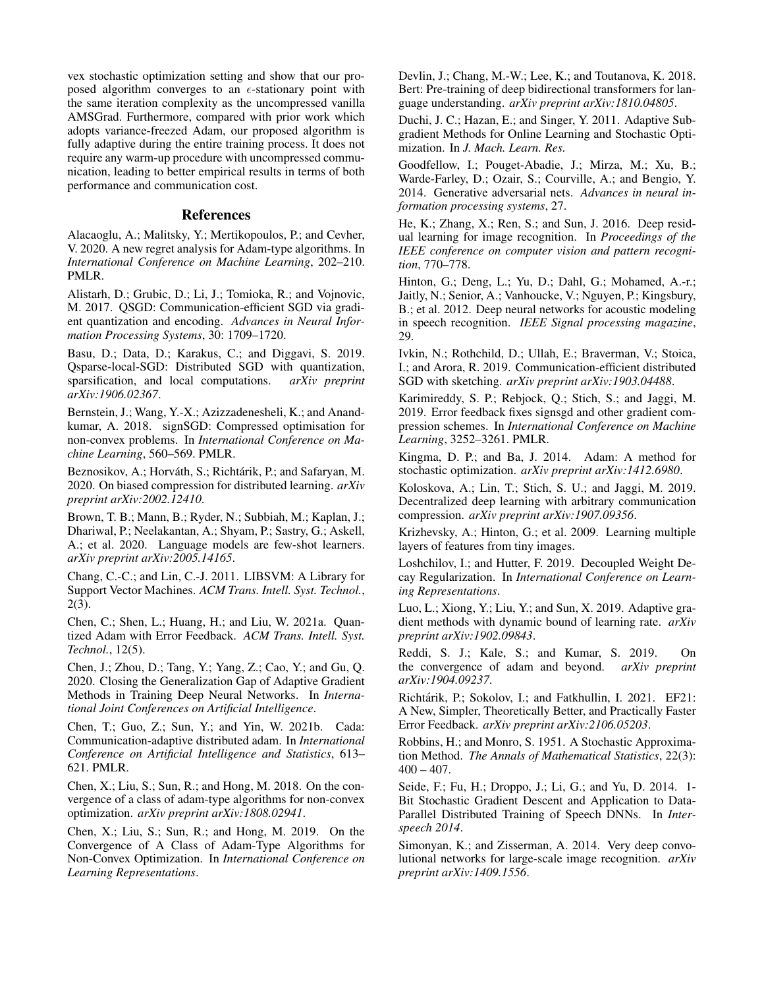vex stochastic optimization setting and show that our proposed algorithm converges to an  $\epsilon$ -stationary point with the same iteration complexity as the uncompressed vanilla AMSGrad. Furthermore, compared with prior work which adopts variance-freezed Adam, our proposed algorithm is fully adaptive during the entire training process. It does not require any warm-up procedure with uncompressed communication, leading to better empirical results in terms of both performance and communication cost.

## References

Alacaoglu, A.; Malitsky, Y.; Mertikopoulos, P.; and Cevher, V. 2020. A new regret analysis for Adam-type algorithms. In *International Conference on Machine Learning*, 202–210. PMLR.

Alistarh, D.; Grubic, D.; Li, J.; Tomioka, R.; and Vojnovic, M. 2017. QSGD: Communication-efficient SGD via gradient quantization and encoding. *Advances in Neural Information Processing Systems*, 30: 1709–1720.

Basu, D.; Data, D.; Karakus, C.; and Diggavi, S. 2019. Qsparse-local-SGD: Distributed SGD with quantization, sparsification, and local computations. *arXiv preprint arXiv:1906.02367*.

Bernstein, J.; Wang, Y.-X.; Azizzadenesheli, K.; and Anandkumar, A. 2018. signSGD: Compressed optimisation for non-convex problems. In *International Conference on Machine Learning*, 560–569. PMLR.

Beznosikov, A.; Horváth, S.; Richtárik, P.; and Safaryan, M. 2020. On biased compression for distributed learning. *arXiv preprint arXiv:2002.12410*.

Brown, T. B.; Mann, B.; Ryder, N.; Subbiah, M.; Kaplan, J.; Dhariwal, P.; Neelakantan, A.; Shyam, P.; Sastry, G.; Askell, A.; et al. 2020. Language models are few-shot learners. *arXiv preprint arXiv:2005.14165*.

Chang, C.-C.; and Lin, C.-J. 2011. LIBSVM: A Library for Support Vector Machines. *ACM Trans. Intell. Syst. Technol.*, 2(3).

Chen, C.; Shen, L.; Huang, H.; and Liu, W. 2021a. Quantized Adam with Error Feedback. *ACM Trans. Intell. Syst. Technol.*, 12(5).

Chen, J.; Zhou, D.; Tang, Y.; Yang, Z.; Cao, Y.; and Gu, Q. 2020. Closing the Generalization Gap of Adaptive Gradient Methods in Training Deep Neural Networks. In *International Joint Conferences on Artificial Intelligence*.

Chen, T.; Guo, Z.; Sun, Y.; and Yin, W. 2021b. Cada: Communication-adaptive distributed adam. In *International Conference on Artificial Intelligence and Statistics*, 613– 621. PMLR.

Chen, X.; Liu, S.; Sun, R.; and Hong, M. 2018. On the convergence of a class of adam-type algorithms for non-convex optimization. *arXiv preprint arXiv:1808.02941*.

Chen, X.; Liu, S.; Sun, R.; and Hong, M. 2019. On the Convergence of A Class of Adam-Type Algorithms for Non-Convex Optimization. In *International Conference on Learning Representations*.

Devlin, J.; Chang, M.-W.; Lee, K.; and Toutanova, K. 2018. Bert: Pre-training of deep bidirectional transformers for language understanding. *arXiv preprint arXiv:1810.04805*.

Duchi, J. C.; Hazan, E.; and Singer, Y. 2011. Adaptive Subgradient Methods for Online Learning and Stochastic Optimization. In *J. Mach. Learn. Res.*

Goodfellow, I.; Pouget-Abadie, J.; Mirza, M.; Xu, B.; Warde-Farley, D.; Ozair, S.; Courville, A.; and Bengio, Y. 2014. Generative adversarial nets. *Advances in neural information processing systems*, 27.

He, K.; Zhang, X.; Ren, S.; and Sun, J. 2016. Deep residual learning for image recognition. In *Proceedings of the IEEE conference on computer vision and pattern recognition*, 770–778.

Hinton, G.; Deng, L.; Yu, D.; Dahl, G.; Mohamed, A.-r.; Jaitly, N.; Senior, A.; Vanhoucke, V.; Nguyen, P.; Kingsbury, B.; et al. 2012. Deep neural networks for acoustic modeling in speech recognition. *IEEE Signal processing magazine*, 29.

Ivkin, N.; Rothchild, D.; Ullah, E.; Braverman, V.; Stoica, I.; and Arora, R. 2019. Communication-efficient distributed SGD with sketching. *arXiv preprint arXiv:1903.04488*.

Karimireddy, S. P.; Rebjock, Q.; Stich, S.; and Jaggi, M. 2019. Error feedback fixes signsgd and other gradient compression schemes. In *International Conference on Machine Learning*, 3252–3261. PMLR.

Kingma, D. P.; and Ba, J. 2014. Adam: A method for stochastic optimization. *arXiv preprint arXiv:1412.6980*.

Koloskova, A.; Lin, T.; Stich, S. U.; and Jaggi, M. 2019. Decentralized deep learning with arbitrary communication compression. *arXiv preprint arXiv:1907.09356*.

Krizhevsky, A.; Hinton, G.; et al. 2009. Learning multiple layers of features from tiny images.

Loshchilov, I.; and Hutter, F. 2019. Decoupled Weight Decay Regularization. In *International Conference on Learning Representations*.

Luo, L.; Xiong, Y.; Liu, Y.; and Sun, X. 2019. Adaptive gradient methods with dynamic bound of learning rate. *arXiv preprint arXiv:1902.09843*.

Reddi, S. J.; Kale, S.; and Kumar, S. 2019. On the convergence of adam and beyond. *arXiv preprint arXiv:1904.09237*.

Richtárik, P.; Sokolov, I.; and Fatkhullin, I. 2021. EF21: A New, Simpler, Theoretically Better, and Practically Faster Error Feedback. *arXiv preprint arXiv:2106.05203*.

Robbins, H.; and Monro, S. 1951. A Stochastic Approximation Method. *The Annals of Mathematical Statistics*, 22(3):  $400 - 407$ .

Seide, F.; Fu, H.; Droppo, J.; Li, G.; and Yu, D. 2014. 1- Bit Stochastic Gradient Descent and Application to Data-Parallel Distributed Training of Speech DNNs. In *Interspeech 2014*.

Simonyan, K.; and Zisserman, A. 2014. Very deep convolutional networks for large-scale image recognition. *arXiv preprint arXiv:1409.1556*.